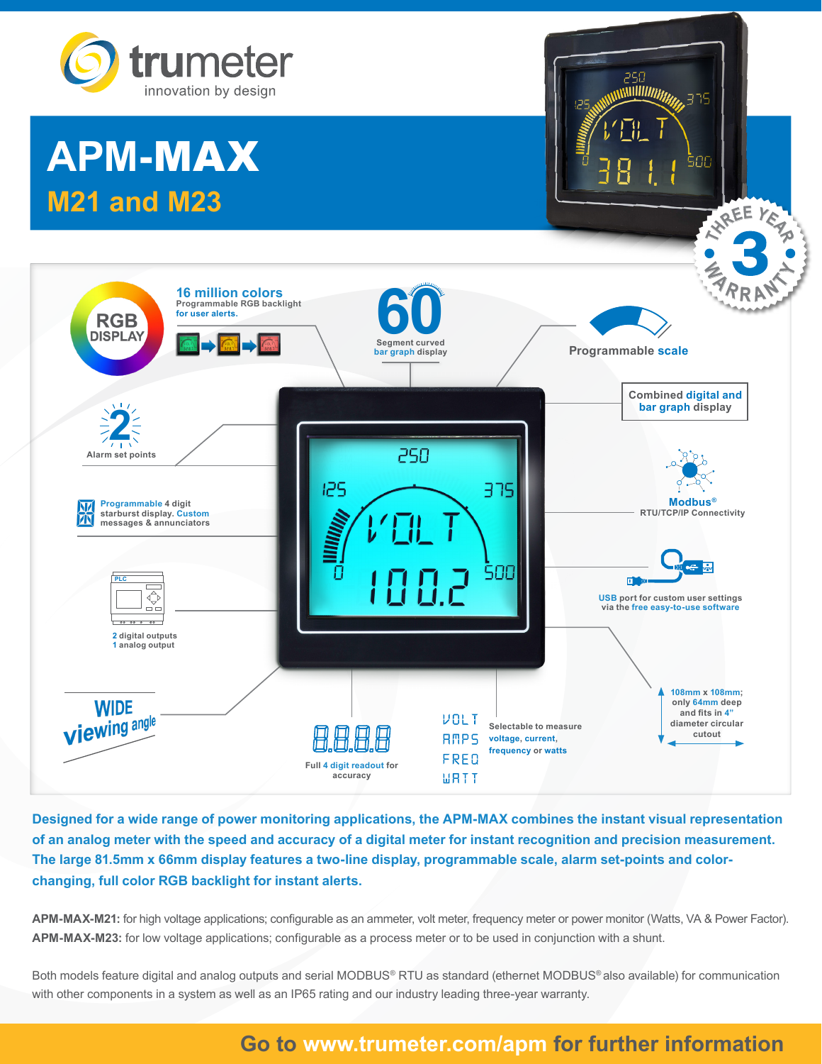

# **APM-**MAX **M21 and M23**



250<br>WWW*WWW* 

375

500

**Designed for a wide range of power monitoring applications, the APM-MAX combines the instant visual representation of an analog meter with the speed and accuracy of a digital meter for instant recognition and precision measurement. The large 81.5mm x 66mm display features a two-line display, programmable scale, alarm set-points and colorchanging, full color RGB backlight for instant alerts.** 

**APM-MAX-M21:** for high voltage applications; configurable as an ammeter, volt meter, frequency meter or power monitor (Watts, VA & Power Factor). **APM-MAX-M23:** for low voltage applications; configurable as a process meter or to be used in conjunction with a shunt.

Both models feature digital and analog outputs and serial MODBUS® RTU as standard (ethernet MODBUS® also available) for communication with other components in a system as well as an IP65 rating and our industry leading three-year warranty.

## **Go to www.trumeter.com/apm for further information**